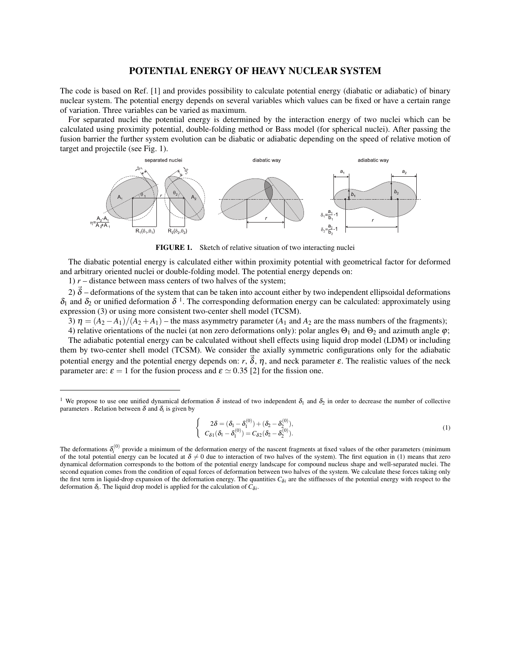## POTENTIAL ENERGY OF HEAVY NUCLEAR SYSTEM

The code is based on Ref. [1] and provides possibility to calculate potential energy (diabatic or adiabatic) of binary nuclear system. The potential energy depends on several variables which values can be fixed or have a certain range of variation. Three variables can be varied as maximum.

For separated nuclei the potential energy is determined by the interaction energy of two nuclei which can be calculated using proximity potential, double-folding method or Bass model (for spherical nuclei). After passing the fusion barrier the further system evolution can be diabatic or adiabatic depending on the speed of relative motion of target and projectile (see Fig. 1).



FIGURE 1. Sketch of relative situation of two interacting nuclei

The diabatic potential energy is calculated either within proximity potential with geometrical factor for deformed and arbitrary oriented nuclei or double-folding model. The potential energy depends on:

1)  $r$  – distance between mass centers of two halves of the system;

2)  $\vec{\delta}$  – deformations of the system that can be taken into account either by two independent ellipsoidal deformations  $\delta_1$  and  $\delta_2$  or unified deformation  $\delta^{-1}$ . The corresponding deformation energy can be calculated: approximately using expression (3) or using more consistent two-center shell model (TCSM).

3)  $\eta = (A_2 - A_1)/(A_2 + A_1)$  – the mass asymmetry parameter ( $A_1$  and  $A_2$  are the mass numbers of the fragments);

4) relative orientations of the nuclei (at non zero deformations only): polar angles  $\Theta_1$  and  $\Theta_2$  and azimuth angle  $\varphi$ ; The adiabatic potential energy can be calculated without shell effects using liquid drop model (LDM) or including them by two-center shell model (TCSM). We consider the axially symmetric configurations only for the adiabatic potential energy and the potential energy depends on:  $r$ ,  $\vec{\delta}$ ,  $\eta$ , and neck parameter  $\varepsilon$ . The realistic values of the neck parameter are:  $\varepsilon = 1$  for the fusion process and  $\varepsilon \simeq 0.35$  [2] for the fission one.

$$
\begin{cases}\n2\delta = (\delta_1 - \delta_1^{(0)}) + (\delta_2 - \delta_2^{(0)}), \\
C_{\delta 1}(\delta_1 - \delta_1^{(0)}) = C_{\delta 2}(\delta_2 - \delta_2^{(0)}).\n\end{cases} (1)
$$

<sup>&</sup>lt;sup>1</sup> We propose to use one unified dynamical deformation  $\delta$  instead of two independent  $\delta_1$  and  $\delta_2$  in order to decrease the number of collective parameters . Relation between  $\delta$  and  $\delta_i$  is given by

The deformations  $\delta_i^{(0)}$  provide a minimum of the deformation energy of the nascent fragments at fixed values of the other parameters (minimum of the total potential energy can be located at  $\delta \neq 0$  due to interaction of two halves of the system). The first equation in (1) means that zero dynamical deformation corresponds to the bottom of the potential energy landscape for compound nucleus shape and well-separated nuclei. The second equation comes from the condition of equal forces of deformation between two halves of the system. We calculate these forces taking only the first term in liquid-drop expansion of the deformation energy. The quantities  $C_{\delta i}$  are the stiffnesses of the potential energy with respect to the deformation  $\delta_i$ . The liquid drop model is applied for the calculation of  $C_{\delta i}$ .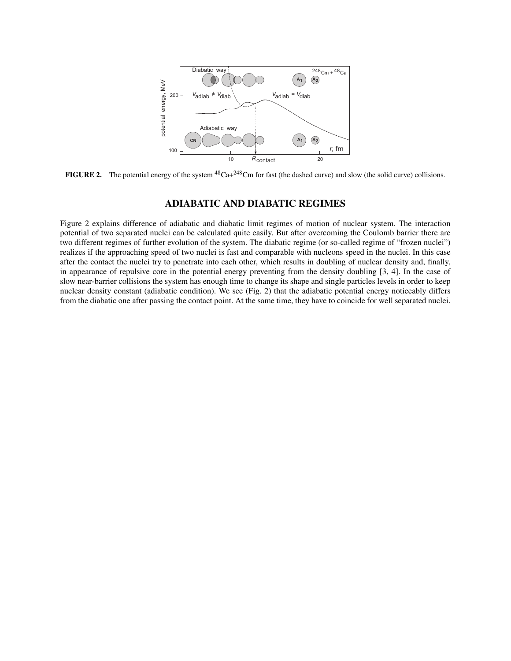

FIGURE 2. The potential energy of the system  ${}^{48}Ca+{}^{248}Cm$  for fast (the dashed curve) and slow (the solid curve) collisions.

# ADIABATIC AND DIABATIC REGIMES

Figure 2 explains difference of adiabatic and diabatic limit regimes of motion of nuclear system. The interaction potential of two separated nuclei can be calculated quite easily. But after overcoming the Coulomb barrier there are two different regimes of further evolution of the system. The diabatic regime (or so-called regime of "frozen nuclei") realizes if the approaching speed of two nuclei is fast and comparable with nucleons speed in the nuclei. In this case after the contact the nuclei try to penetrate into each other, which results in doubling of nuclear density and, finally, in appearance of repulsive core in the potential energy preventing from the density doubling [3, 4]. In the case of slow near-barrier collisions the system has enough time to change its shape and single particles levels in order to keep nuclear density constant (adiabatic condition). We see (Fig. 2) that the adiabatic potential energy noticeably differs from the diabatic one after passing the contact point. At the same time, they have to coincide for well separated nuclei.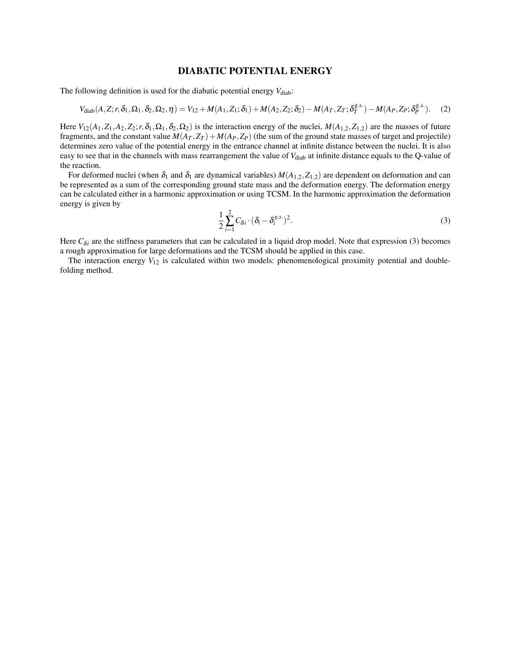## DIABATIC POTENTIAL ENERGY

The following definition is used for the diabatic potential energy  $V_{\text{diab}}$ :

$$
V_{\text{diab}}(A, Z; r, \delta_1, \Omega_1, \delta_2, \Omega_2, \eta) = V_{12} + M(A_1, Z_1; \delta_1) + M(A_2, Z_2; \delta_2) - M(A_T, Z_T; \delta_T^{g.s.}) - M(A_P, Z_P; \delta_P^{g.s.}).
$$
 (2)

Here  $V_{12}(A_1, Z_1, A_2, Z_2; r, \delta_1, \Omega_1, \delta_2, \Omega_2)$  is the interaction energy of the nuclei,  $M(A_{1,2}, Z_{1,2})$  are the masses of future fragments, and the constant value  $M(A_T, Z_T) + M(A_P, Z_P)$  (the sum of the ground state masses of target and projectile) determines zero value of the potential energy in the entrance channel at infinite distance between the nuclei. It is also easy to see that in the channels with mass rearrangement the value of V<sub>diab</sub> at infinite distance equals to the Q-value of the reaction.

For deformed nuclei (when  $\delta_1$  and  $\delta_1$  are dynamical variables)  $M(A_{1,2},Z_{1,2})$  are dependent on deformation and can be represented as a sum of the corresponding ground state mass and the deformation energy. The deformation energy can be calculated either in a harmonic approximation or using TCSM. In the harmonic approximation the deformation energy is given by

$$
\frac{1}{2}\sum_{i=1}^{2}C_{\delta i}\cdot(\delta_{i}-\delta_{i}^{g.s.})^{2}.
$$
\n(3)

Here  $C_{\delta i}$  are the stiffness parameters that can be calculated in a liquid drop model. Note that expression (3) becomes a rough approximation for large deformations and the TCSM should be applied in this case.

The interaction energy  $V_{12}$  is calculated within two models: phenomenological proximity potential and doublefolding method.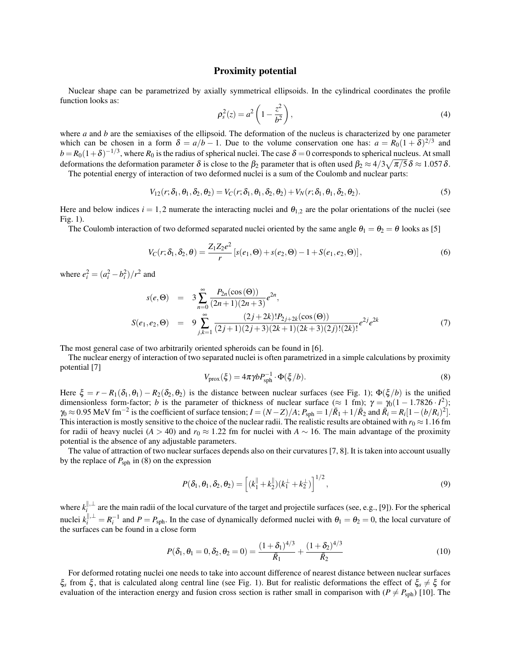#### Proximity potential

Nuclear shape can be parametrized by axially symmetrical ellipsoids. In the cylindrical coordinates the profile function looks as:

$$
\rho_s^2(z) = a^2 \left( 1 - \frac{z^2}{b^2} \right),\tag{4}
$$

where *a* and *b* are the semiaxises of the ellipsoid. The deformation of the nucleus is characterized by one parameter which can be chosen in a form  $\delta = a/b - 1$ . Due to the volume conservation one has:  $a = R_0(1 + \delta)^{2/3}$  and  $b = R_0(1+\delta)^{-1/3}$ , where  $R_0$  is the radius of spherical nuclei. The case  $\delta = 0$  corresponds to spherical nucleus. At small deformations the deformation parameter  $\delta$  is close to the  $\beta_2$  parameter that is often used  $\beta_2 \approx 4/3\sqrt{\pi/5}\,\delta \approx 1.057\,\delta.$ 

The potential energy of interaction of two deformed nuclei is a sum of the Coulomb and nuclear parts:

$$
V_{12}(r; \delta_1, \theta_1, \delta_2, \theta_2) = V_C(r; \delta_1, \theta_1, \delta_2, \theta_2) + V_N(r; \delta_1, \theta_1, \delta_2, \theta_2).
$$
\n<sup>(5)</sup>

Here and below indices  $i = 1,2$  numerate the interacting nuclei and  $\theta_{1,2}$  are the polar orientations of the nuclei (see Fig. 1).

The Coulomb interaction of two deformed separated nuclei oriented by the same angle  $\theta_1 = \theta_2 = \theta$  looks as [5]

$$
V_C(r; \delta_1, \delta_2, \theta) = \frac{Z_1 Z_2 e^2}{r} \left[ s(e_1, \Theta) + s(e_2, \Theta) - 1 + S(e_1, e_2, \Theta) \right],
$$
(6)

where  $e_i^2 = (a_i^2 - b_i^2)/r^2$  and

$$
s(e, \Theta) = 3 \sum_{n=0}^{\infty} \frac{P_{2n}(\cos(\Theta))}{(2n+1)(2n+3)} e^{2n},
$$
  
\n
$$
S(e_1, e_2, \Theta) = 9 \sum_{j,k=1}^{\infty} \frac{(2j+2k)! P_{2j+2k}(\cos(\Theta))}{(2j+1)(2j+3)(2k+1)(2k+3)(2j)!(2k)!} e^{2j} e^{2k}
$$
\n(7)

The most general case of two arbitrarily oriented spheroids can be found in [6].

The nuclear energy of interaction of two separated nuclei is often parametrized in a simple calculations by proximity potential [7]

$$
V_{\text{prox}}(\xi) = 4\pi \gamma b P_{\text{sph}}^{-1} \cdot \Phi(\xi/b). \tag{8}
$$

Here  $\xi = r - R_1(\delta_1, \theta_1) - R_2(\delta_2, \theta_2)$  is the distance between nuclear surfaces (see Fig. 1);  $\Phi(\xi/b)$  is the unified dimensionless form-factor; *b* is the parameter of thickness of nuclear surface ( $\approx 1$  fm);  $\gamma = \gamma_0(1 - 1.7826 \cdot I^2)$ ;  $\gamma_0 \approx 0.95$  MeV fm<sup>-2</sup> is the coefficient of surface tension;  $I = (N - Z)/A$ ;  $P_{\text{sph}} = 1/\bar{R}_1 + 1/\bar{R}_2$  and  $\bar{R}_i = R_i[1 - (b/R_i)^2]$ . This interaction is mostly sensitive to the choice of the nuclear radii. The realistic results are obtained with  $r_0 \approx 1.16$  fm for radii of heavy nuclei (*A* > 40) and  $r_0 \approx 1.22$  fm for nuclei with  $A \sim 16$ . The main advantage of the proximity potential is the absence of any adjustable parameters.

The value of attraction of two nuclear surfaces depends also on their curvatures [7, 8]. It is taken into account usually by the replace of  $P_{\text{sph}}$  in (8) on the expression

$$
P(\delta_1, \theta_1, \delta_2, \theta_2) = \left[ (k_1^{\parallel} + k_2^{\parallel}) (k_1^{\perp} + k_2^{\perp}) \right]^{1/2}, \tag{9}
$$

where  $k_i^{\parallel,\perp}$  $\frac{1}{2}$  are the main radii of the local curvature of the target and projectile surfaces (see, e.g., [9]). For the spherical nuclei  $k_i^{||, \perp} = R_i^{-1}$  and  $P = P_{\text{sph}}$ . In the case of dynamically deformed nuclei with  $\theta_1 = \theta_2 = 0$ , the local curvature of the surfaces can be found in a close form

$$
P(\delta_1, \theta_1 = 0, \delta_2, \theta_2 = 0) = \frac{(1 + \delta_1)^{4/3}}{\bar{R}_1} + \frac{(1 + \delta_2)^{4/3}}{\bar{R}_2}
$$
(10)

For deformed rotating nuclei one needs to take into account difference of nearest distance between nuclear surfaces ξ<sub>*s*</sub> from ξ<sup>*f*</sup>, that is calculated along central line (see Fig. 1). But for realistic deformations the effect of  $\xi_s \neq \xi$  for evaluation of the interaction energy and fusion cross section is rather small in comparison with ( $P \neq P_{\text{sph}}$ ) [10]. The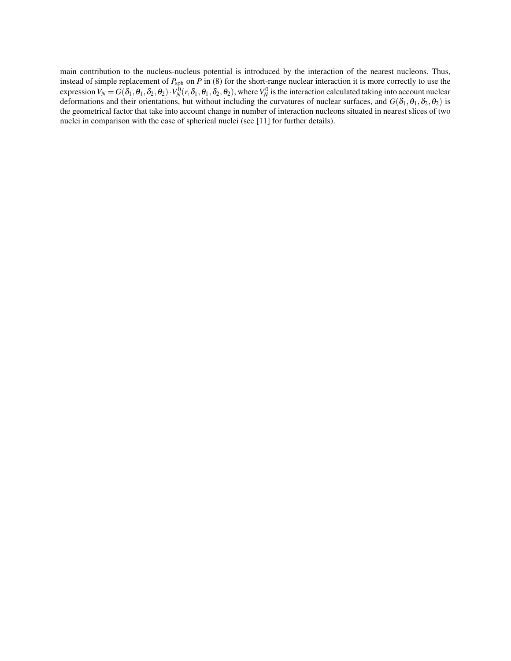main contribution to the nucleus-nucleus potential is introduced by the interaction of the nearest nucleons. Thus, instead of simple replacement of *P*sph on *P* in (8) for the short-range nuclear interaction it is more correctly to use the expression  $V_N = G(\delta_1, \theta_1, \delta_2, \theta_2) \cdot V_N^0(r, \delta_1, \theta_1, \delta_2, \theta_2)$ , where  $V_N^0$  is the interaction calculated taking into account nuclear deformations and their orientations, but without including the curvatures of nuclear surfaces, and  $G(\delta_1,\theta_1,\delta_2,\theta_2)$  is the geometrical factor that take into account change in number of interaction nucleons situated in nearest slices of two nuclei in comparison with the case of spherical nuclei (see [11] for further details).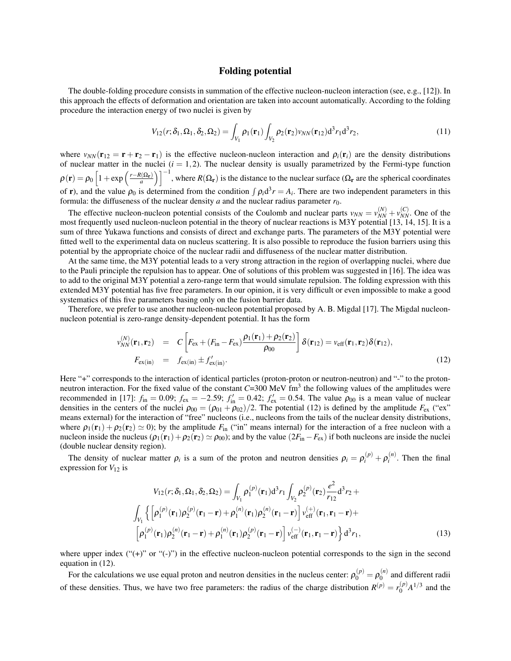#### Folding potential

The double-folding procedure consists in summation of the effective nucleon-nucleon interaction (see, e.g., [12]). In this approach the effects of deformation and orientation are taken into account automatically. According to the folding procedure the interaction energy of two nuclei is given by

$$
V_{12}(r; \delta_1, \Omega_1, \delta_2, \Omega_2) = \int_{V_1} \rho_1(\mathbf{r}_1) \int_{V_2} \rho_2(\mathbf{r}_2) \nu_{NN}(\mathbf{r}_{12}) d^3 r_1 d^3 r_2,
$$
\n(11)

where  $v_{NN}(\mathbf{r}_{12} = \mathbf{r} + \mathbf{r}_2 - \mathbf{r}_1)$  is the effective nucleon-nucleon interaction and  $\rho_i(\mathbf{r}_i)$  are the density distributions of nuclear matter in the nuclei  $(i = 1, 2)$ . The nuclear density is usually parametrized by the Fermi-type function  $\rho(\mathbf{r}) = \rho_0 \left[1 + \exp\left(\frac{r - R(\Omega_\mathbf{r})}{a}\right)\right]^{-1}$ , where  $R(\Omega_\mathbf{r})$  is the distance to the nuclear surface ( $\Omega_\mathbf{r}$  are the spherical coordinates of **r**), and the value  $\rho_0$  is determined from the condition  $\int \rho_i d^3 r = A_i$ . There are two independent parameters in this formula: the diffuseness of the nuclear density  $a$  and the nuclear radius parameter  $r_0$ .

The effective nucleon-nucleon potential consists of the Coulomb and nuclear parts  $v_{NN} = v_{NN}^{(N)} + v_{NN}^{(C)}$ . One of the most frequently used nucleon-nucleon potential in the theory of nuclear reactions is M3Y potential [13, 14, 15]. It is a sum of three Yukawa functions and consists of direct and exchange parts. The parameters of the M3Y potential were fitted well to the experimental data on nucleus scattering. It is also possible to reproduce the fusion barriers using this potential by the appropriate choice of the nuclear radii and diffuseness of the nuclear matter distribution.

At the same time, the M3Y potential leads to a very strong attraction in the region of overlapping nuclei, where due to the Pauli principle the repulsion has to appear. One of solutions of this problem was suggested in [16]. The idea was to add to the original M3Y potential a zero-range term that would simulate repulsion. The folding expression with this extended M3Y potential has five free parameters. In our opinion, it is very difficult or even impossible to make a good systematics of this five parameters basing only on the fusion barrier data.

Therefore, we prefer to use another nucleon-nucleon potential proposed by A. B. Migdal [17]. The Migdal nucleonnucleon potential is zero-range density-dependent potential. It has the form

$$
v_{NN}^{(N)}(\mathbf{r}_1, \mathbf{r}_2) = C \left[ F_{\text{ex}} + (F_{\text{in}} - F_{\text{ex}}) \frac{\rho_1(\mathbf{r}_1) + \rho_2(\mathbf{r}_2)}{\rho_{00}} \right] \delta(\mathbf{r}_{12}) = v_{\text{eff}}(\mathbf{r}_1, \mathbf{r}_2) \delta(\mathbf{r}_{12}),
$$
  
\n
$$
F_{\text{ex(in)}} = f_{\text{ex(in)}} \pm f_{\text{ex(in)}}'.
$$
\n(12)

Here "+" corresponds to the interaction of identical particles (proton-proton or neutron-neutron) and "-" to the protonneutron interaction. For the fixed value of the constant  $C=300$  MeV fm<sup>3</sup> the following values of the amplitudes were recommended in [17]:  $f_{in} = 0.09$ ;  $f_{ex} = -2.59$ ;  $f'_{in} = 0.42$ ;  $f'_{ex} = 0.54$ . The value  $\rho_{00}$  is a mean value of nuclear densities in the centers of the nuclei  $\rho_{00} = (\rho_{01} + \rho_{02})/2$ . The potential (12) is defined by the amplitude  $F_{\rm ex}$  ("ex" means external) for the interaction of "free" nucleons (i.e., nucleons from the tails of the nuclear density distributions, where  $\rho_1(\mathbf{r}_1) + \rho_2(\mathbf{r}_2) \simeq 0$ ; by the amplitude  $F_{\text{in}}$  ("in" means internal) for the interaction of a free nucleon with a nucleon inside the nucleus  $(\rho_1(\mathbf{r}_1)+\rho_2(\mathbf{r}_2) \simeq \rho_{00})$ ; and by the value  $(2F_{in} - F_{ex})$  if both nucleons are inside the nuclei (double nuclear density region).

The density of nuclear matter  $\rho_i$  is a sum of the proton and neutron densities  $\rho_i = \rho_i^{(p)} + \rho_i^{(n)}$  $i^{(n)}$ . Then the final expression for  $V_{12}$  is

$$
V_{12}(r; \delta_1, \Omega_1, \delta_2, \Omega_2) = \int_{V_1} \rho_1^{(p)}(\mathbf{r}_1) d^3 r_1 \int_{V_2} \rho_2^{(p)}(\mathbf{r}_2) \frac{e^2}{r_{12}} d^3 r_2 +
$$
  

$$
\int_{V_1} \left\{ \left[ \rho_1^{(p)}(\mathbf{r}_1) \rho_2^{(p)}(\mathbf{r}_1 - \mathbf{r}) + \rho_1^{(n)}(\mathbf{r}_1) \rho_2^{(n)}(\mathbf{r}_1 - \mathbf{r}) \right] v_{\text{eff}}^{(+)}(\mathbf{r}_1, \mathbf{r}_1 - \mathbf{r}) +
$$
  

$$
\left[ \rho_1^{(p)}(\mathbf{r}_1) \rho_2^{(n)}(\mathbf{r}_1 - \mathbf{r}) + \rho_1^{(n)}(\mathbf{r}_1) \rho_2^{(p)}(\mathbf{r}_1 - \mathbf{r}) \right] v_{\text{eff}}^{(-)}(\mathbf{r}_1, \mathbf{r}_1 - \mathbf{r}) \right\} d^3 r_1,
$$
 (13)

where upper index ("(+)" or "(-)") in the effective nucleon-nucleon potential corresponds to the sign in the second equation in (12).

For the calculations we use equal proton and neutron densities in the nucleus center:  $\rho_0^{(p)} = \rho_0^{(n)}$  $\binom{n}{0}$  and different radii of these densities. Thus, we have two free parameters: the radius of the charge distribution  $R^{(p)} = r_0^{(p)}$  $^{(p)}_0A^{1/3}$  and the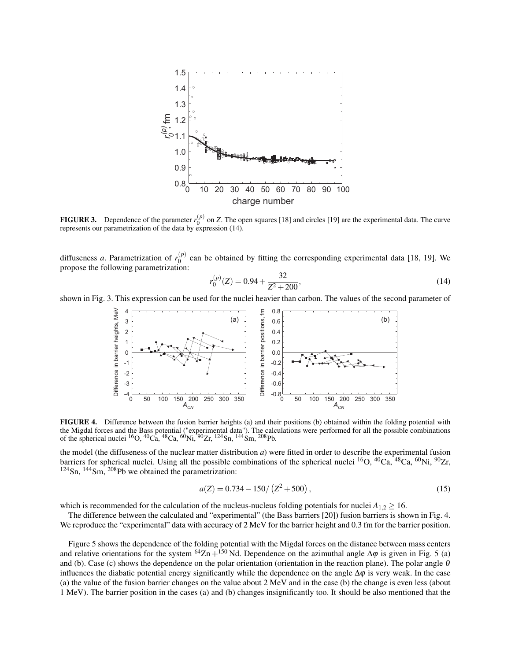

**FIGURE 3.** Dependence of the parameter  $r_0^{(p)}$  on *Z*. The open squares [18] and circles [19] are the experimental data. The curve represents our parametrization of the data by expression (14).

diffuseness *a*. Parametrization of  $r_0^{(p)}$  $_{0}^{(p)}$  can be obtained by fitting the corresponding experimental data [18, 19]. We propose the following parametrization:

$$
r_0^{(p)}(Z) = 0.94 + \frac{32}{Z^2 + 200},\tag{14}
$$

shown in Fig. 3. This expression can be used for the nuclei heavier than carbon. The values of the second parameter of



FIGURE 4. Difference between the fusion barrier heights (a) and their positions (b) obtained within the folding potential with the Migdal forces and the Bass potential ("experimental data"). The calculations were performed for all the possible combinations of the spherical nuclei <sup>16</sup>O, <sup>40</sup>Ca, <sup>48</sup>Ca, <sup>60</sup>Ni, <sup>50</sup>Zr, <sup>124</sup>Sn, <sup>144</sup>Sm, <sup>208</sup>Pb.

the model (the diffuseness of the nuclear matter distribution *a*) were fitted in order to describe the experimental fusion barriers for spherical nuclei. Using all the possible combinations of the spherical nuclei  ${}^{16}O$ ,  ${}^{40}Ca$ ,  ${}^{48}Ca$ ,  ${}^{60}Ni$ ,  ${}^{90}Zr$ ,  $124$ Sn,  $144$ Sm,  $208$ Pb we obtained the parametrization:

$$
a(Z) = 0.734 - 150/(Z^2 + 500),\tag{15}
$$

which is recommended for the calculation of the nucleus-nucleus folding potentials for nuclei  $A_{1,2} \geq 16$ .

The difference between the calculated and "experimental" (the Bass barriers [20]) fusion barriers is shown in Fig. 4. We reproduce the "experimental" data with accuracy of 2 MeV for the barrier height and 0.3 fm for the barrier position.

Figure 5 shows the dependence of the folding potential with the Migdal forces on the distance between mass centers and relative orientations for the system <sup>64</sup>Zn +<sup>150</sup> Nd. Dependence on the azimuthal angle  $\Delta\varphi$  is given in Fig. 5 (a) and (b). Case (c) shows the dependence on the polar orientation (orientation in the reaction plane). The polar angle  $\theta$ influences the diabatic potential energy significantly while the dependence on the angle  $\Delta\varphi$  is very weak. In the case (a) the value of the fusion barrier changes on the value about 2 MeV and in the case (b) the change is even less (about 1 MeV). The barrier position in the cases (a) and (b) changes insignificantly too. It should be also mentioned that the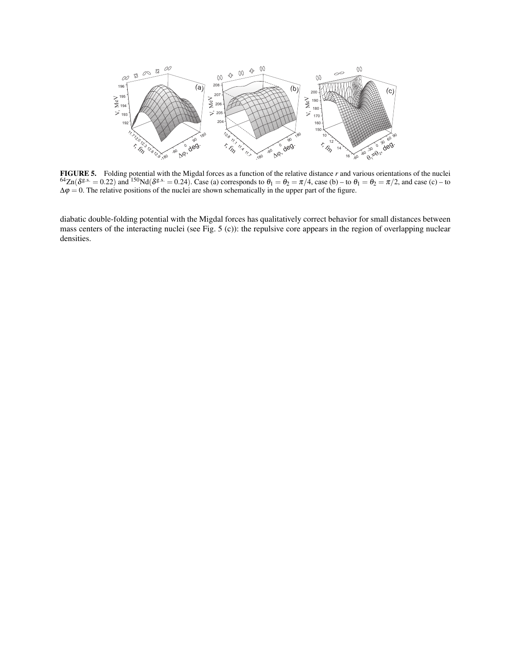

FIGURE 5. Folding potential with the Migdal forces as a function of the relative distance *r* and various orientations of the nuclei  $^{64}Zn(\delta^{g.s.} = 0.22)$  and  $^{150}Nd(\delta^{g.s.} = 0.24)$ . Case (a) corresponds to  $\theta_1 = \theta_2 = \pi/4$ , case (b) – to  $\theta_1 = \theta_2 = \pi/2$ , and case (c) – to  $\Delta \varphi = 0$ . The relative positions of the nuclei are shown schematically in the upper part of the figure.

diabatic double-folding potential with the Migdal forces has qualitatively correct behavior for small distances between mass centers of the interacting nuclei (see Fig. 5 (c)): the repulsive core appears in the region of overlapping nuclear densities.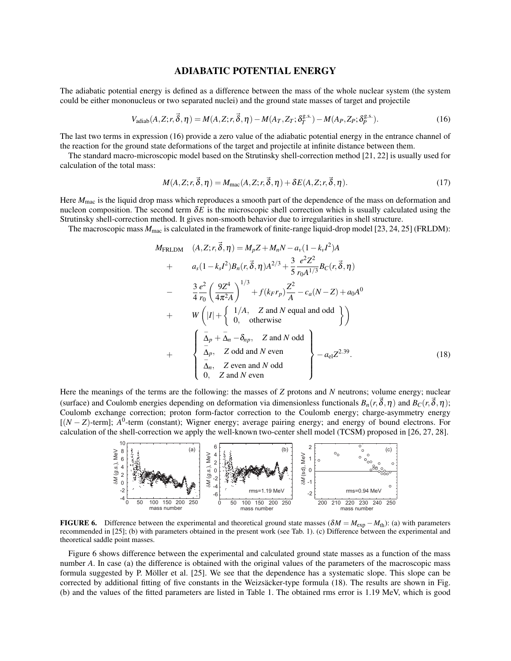#### ADIABATIC POTENTIAL ENERGY

The adiabatic potential energy is defined as a difference between the mass of the whole nuclear system (the system could be either mononucleus or two separated nuclei) and the ground state masses of target and projectile

$$
V_{\text{adiab}}(A, Z; r, \vec{\delta}, \eta) = M(A, Z; r, \vec{\delta}, \eta) - M(A_T, Z_T; \delta_T^{g.s.}) - M(A_P, Z_P; \delta_P^{g.s.}).
$$
\n(16)

The last two terms in expression (16) provide a zero value of the adiabatic potential energy in the entrance channel of the reaction for the ground state deformations of the target and projectile at infinite distance between them.

The standard macro-microscopic model based on the Strutinsky shell-correction method [21, 22] is usually used for calculation of the total mass:

$$
M(A, Z; r, \vec{\delta}, \eta) = M_{\text{mac}}(A, Z; r, \vec{\delta}, \eta) + \delta E(A, Z; r, \vec{\delta}, \eta). \tag{17}
$$

Here  $M_{\text{mac}}$  is the liquid drop mass which reproduces a smooth part of the dependence of the mass on deformation and nucleon composition. The second term  $\delta E$  is the microscopic shell correction which is usually calculated using the Strutinsky shell-correction method. It gives non-smooth behavior due to irregularities in shell structure.

The macroscopic mass  $M_{\text{mac}}$  is calculated in the framework of finite-range liquid-drop model [23, 24, 25] (FRLDM):

$$
M_{\text{FRLDM}} \quad (A, Z; r, \vec{\delta}, \eta) = M_p Z + M_n N - a_v (1 - k_v I^2) A
$$
  
+ 
$$
a_s (1 - k_s I^2) B_n (r, \vec{\delta}, \eta) A^{2/3} + \frac{3}{5} \frac{e^2 Z^2}{r_0 A^{1/3}} B_C (r, \vec{\delta}, \eta)
$$
  
- 
$$
\frac{3}{4} \frac{e^2}{r_0} \left(\frac{9Z^4}{4\pi^2 A}\right)^{1/3} + f(k_F r_p) \frac{Z^2}{A} - c_a (N - Z) + a_0 A^0
$$
  
+ 
$$
W \left( |I| + \begin{cases} 1/A, & Z \text{ and } N \text{ equal and odd} \\ 0, & \text{otherwise} \end{cases} \right)
$$
  
+ 
$$
\left\{ \begin{array}{ll} \frac{1}{\Delta} & \frac{1}{\Delta} \\ \frac{1}{\Delta} & \text{ odd and } N \text{ even} \\ \frac{1}{\Delta} & Z \text{ even and } N \text{ odd} \\ 0, & Z \text{ and } N \text{ even} \end{array} \right\} - a_{e1} Z^{2.39}.
$$
 (18)

Here the meanings of the terms are the following: the masses of *Z* protons and *N* neutrons; volume energy; nuclear (surface) and Coulomb energies depending on deformation via dimensionless functionals  $B_n(r, \vec{\delta}, \eta)$  and  $B_C(r, \vec{\delta}, \eta)$ ; Coulomb exchange correction; proton form-factor correction to the Coulomb energy; charge-asymmetry energy [(*N* − *Z*)-term]; *A*<sup>0</sup>-term (constant); Wigner energy; average pairing energy; and energy of bound electrons. For calculation of the shell-correction we apply the well-known two-center shell model (TCSM) proposed in [26, 27, 28].



FIGURE 6. Difference between the experimental and theoretical ground state masses ( $\delta M = M_{\text{exp}} - M_{\text{th}}$ ): (a) with parameters recommended in [25]; (b) with parameters obtained in the present work (see Tab. 1). (c) Difference between the experimental and theoretical saddle point masses.

Figure 6 shows difference between the experimental and calculated ground state masses as a function of the mass number *A*. In case (a) the difference is obtained with the original values of the parameters of the macroscopic mass formula suggested by P. Möller et al. [25]. We see that the dependence has a systematic slope. This slope can be corrected by additional fitting of five constants in the Weizsäcker-type formula (18). The results are shown in Fig. (b) and the values of the fitted parameters are listed in Table 1. The obtained rms error is 1.19 MeV, which is good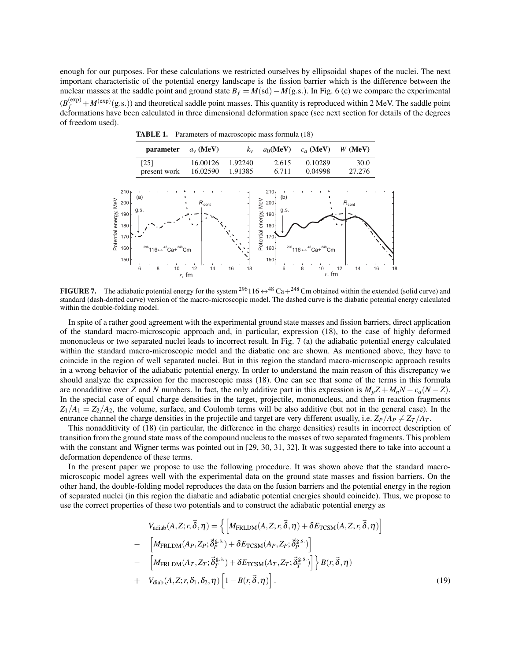enough for our purposes. For these calculations we restricted ourselves by ellipsoidal shapes of the nuclei. The next important characteristic of the potential energy landscape is the fission barrier which is the difference between the nuclear masses at the saddle point and ground state  $B_f = M(\text{sd}) - M(\text{g.s.})$ . In Fig. 6 (c) we compare the experimental  $(B_f^{(exp)} + M^{(exp)}(g.s.)$  and theoretical saddle point masses. This quantity is reproduced within 2 MeV. The saddle point deformations have been calculated in three dimensional deformation space (see next section for details of the degrees of freedom used).

TABLE 1. Parameters of macroscopic mass formula (18)

| parameter $a_v$ (MeV) |                  |       | $k_v$ $a_0$ (MeV) $c_a$ (MeV) W (MeV) |        |
|-----------------------|------------------|-------|---------------------------------------|--------|
| $\lceil 25 \rceil$    | 16.00126 1.92240 | 2.615 | 0.10289                               | 30.0   |
| present work          | 16.02590 1.91385 | 6.711 | 0.04998                               | 27.276 |



FIGURE 7. The adiabatic potential energy for the system <sup>296</sup>116  $\leftrightarrow$  <sup>48</sup> Ca+<sup>248</sup>Cm obtained within the extended (solid curve) and standard (dash-dotted curve) version of the macro-microscopic model. The dashed curve is the diabatic potential energy calculated within the double-folding model.

In spite of a rather good agreement with the experimental ground state masses and fission barriers, direct application of the standard macro-microscopic approach and, in particular, expression (18), to the case of highly deformed mononucleus or two separated nuclei leads to incorrect result. In Fig. 7 (a) the adiabatic potential energy calculated within the standard macro-microscopic model and the diabatic one are shown. As mentioned above, they have to coincide in the region of well separated nuclei. But in this region the standard macro-microscopic approach results in a wrong behavior of the adiabatic potential energy. In order to understand the main reason of this discrepancy we should analyze the expression for the macroscopic mass (18). One can see that some of the terms in this formula are nonadditive over *Z* and *N* numbers. In fact, the only additive part in this expression is  $M_pZ + M_nN - c_q(N - Z)$ . In the special case of equal charge densities in the target, projectile, mononucleus, and then in reaction fragments  $Z_1/A_1 = Z_2/A_2$ , the volume, surface, and Coulomb terms will be also additive (but not in the general case). In the entrance channel the charge densities in the projectile and target are very different usually, i.e.  $Z_P/A_P \neq Z_T/A_T$ .

This nonadditivity of (18) (in particular, the difference in the charge densities) results in incorrect description of transition from the ground state mass of the compound nucleus to the masses of two separated fragments. This problem with the constant and Wigner terms was pointed out in [29, 30, 31, 32]. It was suggested there to take into account a deformation dependence of these terms.

In the present paper we propose to use the following procedure. It was shown above that the standard macromicroscopic model agrees well with the experimental data on the ground state masses and fission barriers. On the other hand, the double-folding model reproduces the data on the fusion barriers and the potential energy in the region of separated nuclei (in this region the diabatic and adiabatic potential energies should coincide). Thus, we propose to use the correct properties of these two potentials and to construct the adiabatic potential energy as

$$
V_{\text{adiab}}(A, Z; r, \vec{\delta}, \eta) = \left\{ \left[ M_{\text{FRLDM}}(A, Z; r, \vec{\delta}, \eta) + \delta E_{\text{TCSM}}(A, Z; r, \vec{\delta}, \eta) \right] \right\}
$$
  
- 
$$
\left[ M_{\text{FRLDM}}(A_P, Z_P; \vec{\delta}_P^{\text{g.s.}}) + \delta E_{\text{TCSM}}(A_P, Z_P; \vec{\delta}_P^{\text{g.s.}}) \right]
$$
  
- 
$$
\left[ M_{\text{FRLDM}}(A_T, Z_T; \vec{\delta}_T^{\text{g.s.}}) + \delta E_{\text{TCSM}}(A_T, Z_T; \vec{\delta}_T^{\text{g.s.}}) \right] \right\} B(r, \vec{\delta}, \eta)
$$
  
+ 
$$
V_{\text{diab}}(A, Z; r, \delta_1, \delta_2, \eta) \left[ 1 - B(r, \vec{\delta}, \eta) \right].
$$
 (19)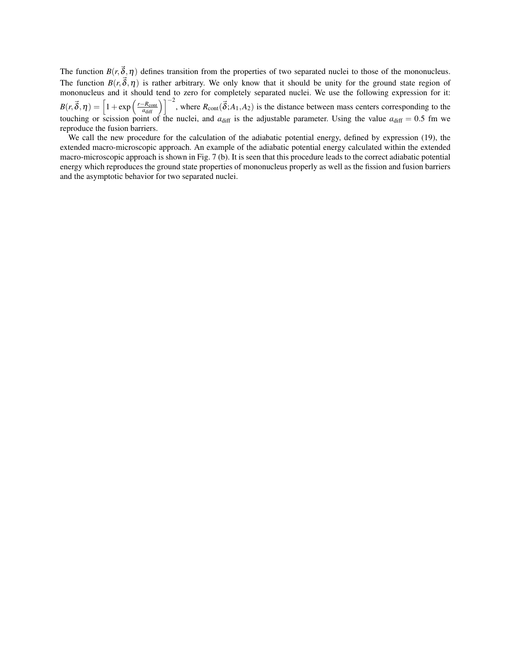The function  $B(r, \vec{\delta}, \eta)$  defines transition from the properties of two separated nuclei to those of the mononucleus. The function  $B(r, \vec{\delta}, \eta)$  is rather arbitrary. We only know that it should be unity for the ground state region of mononucleus and it should tend to zero for completely separated nuclei. We use the following expression for it:  $B(r, \vec{\delta}, \eta) = \left[1 + \exp\left(\frac{r - R_{\text{cont}}}{a_{\text{diff}}}\right)\right]^{-2}$ , where  $R_{\text{cont}}(\vec{\delta}; A_1, A_2)$  is the distance between mass centers corresponding to the touching or scission point of the nuclei, and  $a_{diff}$  is the adjustable parameter. Using the value  $a_{diff} = 0.5$  fm we reproduce the fusion barriers.

We call the new procedure for the calculation of the adiabatic potential energy, defined by expression (19), the extended macro-microscopic approach. An example of the adiabatic potential energy calculated within the extended macro-microscopic approach is shown in Fig. 7 (b). It is seen that this procedure leads to the correct adiabatic potential energy which reproduces the ground state properties of mononucleus properly as well as the fission and fusion barriers and the asymptotic behavior for two separated nuclei.